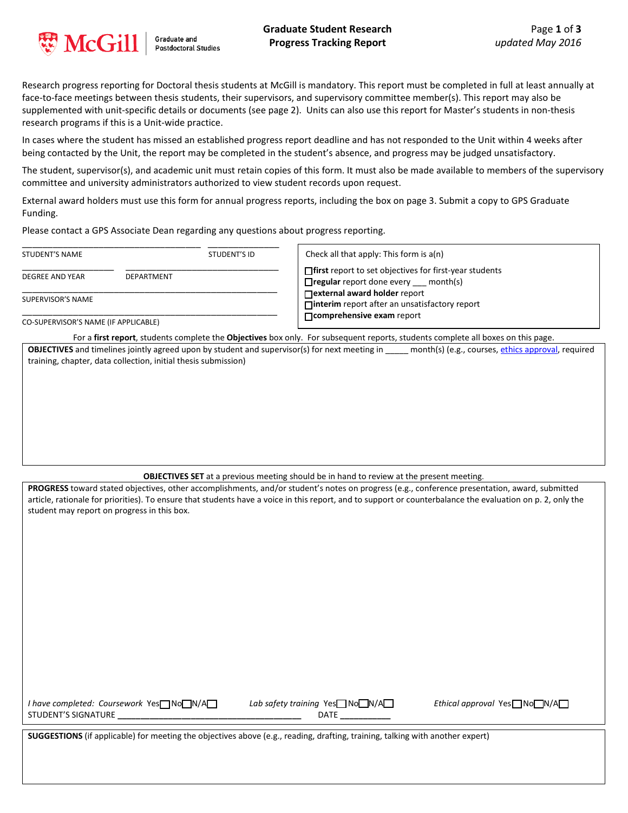

**Graduate and Postdoctoral Studies**  **Graduate Student Research Progress Tracking Report**

Research progress reporting for Doctoral thesis students at McGill is mandatory. This report must be completed in full at least annually at face-to-face meetings between thesis students, their supervisors, and supervisory committee member(s). This report may also be supplemented with unit-specific details or documents (see page 2). Units can also use this report for Master's students in non-thesis research programs if this is a Unit-wide practice.

In cases where the student has missed an established progress report deadline and has not responded to the Unit within 4 weeks after being contacted by the Unit, the report may be completed in the student's absence, and progress may be judged unsatisfactory.

The student, supervisor(s), and academic unit must retain copies of this form. It must also be made available to members of the supervisory committee and university administrators authorized to view student records upon request.

External award holders must use this form for annual progress reports, including the box on page 3. Submit a copy to GPS Graduate Funding.

Please contact a GPS Associate Dean regarding any questions about progress reporting.

| <b>STUDENT'S NAME</b>                |  | STUDENT'S ID | Check all that apply: This form is a(n)<br>$\Box$ first report to set objectives for first-year students<br>$\Box$ regular report done every $\_\_\_\$ month(s) |  |
|--------------------------------------|--|--------------|-----------------------------------------------------------------------------------------------------------------------------------------------------------------|--|
| <b>DEPARTMENT</b><br>DEGREE AND YEAR |  |              |                                                                                                                                                                 |  |
| SUPERVISOR'S NAME                    |  |              | □ external award holder report<br>$\Box$ interim report after an unsatisfactory report                                                                          |  |
| CO-SUPERVISOR'S NAME (IF APPLICABLE) |  |              | □ comprehensive exam report                                                                                                                                     |  |

For a **first report**, students complete the **Objectives** box only. For subsequent reports, students complete all boxes on this page.

**OBJECTIVES** and timelines jointly agreed upon by student and supervisor(s) for next meeting in \_\_\_\_\_ month(s) (e.g., courses[, ethics approval,](https://www.mcgill.ca/research/researchers/compliance/human) required training, chapter, data collection, initial thesis submission)

**OBJECTIVES SET** at a previous meeting should be in hand to review at the present meeting.

**PROGRESS** toward stated objectives, other accomplishments, and/or student's notes on progress (e.g., conference presentation, award, submitted article, rationale for priorities). To ensure that students have a voice in this report, and to support or counterbalance the evaluation on p. 2, only the student may report on progress in this box.

*I have completed: Coursework Yes* □ No □ N/A □ *Lab safety training Yes* □ No □ N/A □ *Ethical approval Yes* □ No □ N/A □ STUDENT'S SIGNATURE **\_\_\_\_\_\_\_\_\_\_\_\_\_\_\_\_\_\_\_\_\_\_\_\_\_\_\_\_\_\_\_\_\_\_\_\_\_\_\_\_** DATE **\_\_\_\_\_\_\_\_\_\_\_** 

**SUGGESTIONS** (if applicable) for meeting the objectives above (e.g., reading, drafting, training, talking with another expert)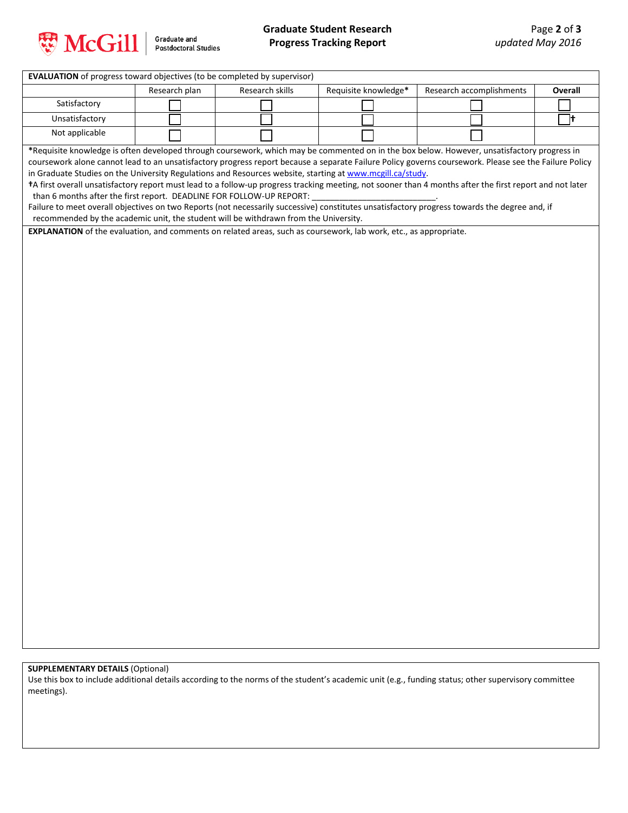

Graduate and<br>Postdoctoral Studies

## **Graduate Student Research Progress Tracking Report**

| <b>EVALUATION</b> of progress toward objectives (to be completed by supervisor)                                                                                                                                                  |               |                                                                                      |                      |                                                                                                                                                       |         |  |  |  |  |
|----------------------------------------------------------------------------------------------------------------------------------------------------------------------------------------------------------------------------------|---------------|--------------------------------------------------------------------------------------|----------------------|-------------------------------------------------------------------------------------------------------------------------------------------------------|---------|--|--|--|--|
|                                                                                                                                                                                                                                  | Research plan | Research skills                                                                      | Requisite knowledge* | Research accomplishments                                                                                                                              | Overall |  |  |  |  |
| Satisfactory                                                                                                                                                                                                                     |               |                                                                                      |                      |                                                                                                                                                       |         |  |  |  |  |
| Unsatisfactory                                                                                                                                                                                                                   |               |                                                                                      |                      |                                                                                                                                                       | 7t      |  |  |  |  |
| Not applicable                                                                                                                                                                                                                   |               |                                                                                      |                      |                                                                                                                                                       |         |  |  |  |  |
|                                                                                                                                                                                                                                  |               |                                                                                      |                      | *Requisite knowledge is often developed through coursework, which may be commented on in the box below. However, unsatisfactory progress in           |         |  |  |  |  |
|                                                                                                                                                                                                                                  |               |                                                                                      |                      | coursework alone cannot lead to an unsatisfactory progress report because a separate Failure Policy governs coursework. Please see the Failure Policy |         |  |  |  |  |
| in Graduate Studies on the University Regulations and Resources website, starting at www.mcgill.ca/study.                                                                                                                        |               |                                                                                      |                      |                                                                                                                                                       |         |  |  |  |  |
| +A first overall unsatisfactory report must lead to a follow-up progress tracking meeting, not sooner than 4 months after the first report and not later<br>than 6 months after the first report. DEADLINE FOR FOLLOW-UP REPORT: |               |                                                                                      |                      |                                                                                                                                                       |         |  |  |  |  |
|                                                                                                                                                                                                                                  |               |                                                                                      |                      | Failure to meet overall objectives on two Reports (not necessarily successive) constitutes unsatisfactory progress towards the degree and, if         |         |  |  |  |  |
|                                                                                                                                                                                                                                  |               | recommended by the academic unit, the student will be withdrawn from the University. |                      |                                                                                                                                                       |         |  |  |  |  |
| EXPLANATION of the evaluation, and comments on related areas, such as coursework, lab work, etc., as appropriate.                                                                                                                |               |                                                                                      |                      |                                                                                                                                                       |         |  |  |  |  |
|                                                                                                                                                                                                                                  |               |                                                                                      |                      |                                                                                                                                                       |         |  |  |  |  |
|                                                                                                                                                                                                                                  |               |                                                                                      |                      |                                                                                                                                                       |         |  |  |  |  |
|                                                                                                                                                                                                                                  |               |                                                                                      |                      |                                                                                                                                                       |         |  |  |  |  |
|                                                                                                                                                                                                                                  |               |                                                                                      |                      |                                                                                                                                                       |         |  |  |  |  |
|                                                                                                                                                                                                                                  |               |                                                                                      |                      |                                                                                                                                                       |         |  |  |  |  |
|                                                                                                                                                                                                                                  |               |                                                                                      |                      |                                                                                                                                                       |         |  |  |  |  |
|                                                                                                                                                                                                                                  |               |                                                                                      |                      |                                                                                                                                                       |         |  |  |  |  |
|                                                                                                                                                                                                                                  |               |                                                                                      |                      |                                                                                                                                                       |         |  |  |  |  |
|                                                                                                                                                                                                                                  |               |                                                                                      |                      |                                                                                                                                                       |         |  |  |  |  |
|                                                                                                                                                                                                                                  |               |                                                                                      |                      |                                                                                                                                                       |         |  |  |  |  |
|                                                                                                                                                                                                                                  |               |                                                                                      |                      |                                                                                                                                                       |         |  |  |  |  |
|                                                                                                                                                                                                                                  |               |                                                                                      |                      |                                                                                                                                                       |         |  |  |  |  |
|                                                                                                                                                                                                                                  |               |                                                                                      |                      |                                                                                                                                                       |         |  |  |  |  |
|                                                                                                                                                                                                                                  |               |                                                                                      |                      |                                                                                                                                                       |         |  |  |  |  |
|                                                                                                                                                                                                                                  |               |                                                                                      |                      |                                                                                                                                                       |         |  |  |  |  |
|                                                                                                                                                                                                                                  |               |                                                                                      |                      |                                                                                                                                                       |         |  |  |  |  |
|                                                                                                                                                                                                                                  |               |                                                                                      |                      |                                                                                                                                                       |         |  |  |  |  |
|                                                                                                                                                                                                                                  |               |                                                                                      |                      |                                                                                                                                                       |         |  |  |  |  |
|                                                                                                                                                                                                                                  |               |                                                                                      |                      |                                                                                                                                                       |         |  |  |  |  |
|                                                                                                                                                                                                                                  |               |                                                                                      |                      |                                                                                                                                                       |         |  |  |  |  |
|                                                                                                                                                                                                                                  |               |                                                                                      |                      |                                                                                                                                                       |         |  |  |  |  |
|                                                                                                                                                                                                                                  |               |                                                                                      |                      |                                                                                                                                                       |         |  |  |  |  |
|                                                                                                                                                                                                                                  |               |                                                                                      |                      |                                                                                                                                                       |         |  |  |  |  |
|                                                                                                                                                                                                                                  |               |                                                                                      |                      |                                                                                                                                                       |         |  |  |  |  |
|                                                                                                                                                                                                                                  |               |                                                                                      |                      |                                                                                                                                                       |         |  |  |  |  |
|                                                                                                                                                                                                                                  |               |                                                                                      |                      |                                                                                                                                                       |         |  |  |  |  |
|                                                                                                                                                                                                                                  |               |                                                                                      |                      |                                                                                                                                                       |         |  |  |  |  |
|                                                                                                                                                                                                                                  |               |                                                                                      |                      |                                                                                                                                                       |         |  |  |  |  |
|                                                                                                                                                                                                                                  |               |                                                                                      |                      |                                                                                                                                                       |         |  |  |  |  |
|                                                                                                                                                                                                                                  |               |                                                                                      |                      |                                                                                                                                                       |         |  |  |  |  |
|                                                                                                                                                                                                                                  |               |                                                                                      |                      |                                                                                                                                                       |         |  |  |  |  |
|                                                                                                                                                                                                                                  |               |                                                                                      |                      |                                                                                                                                                       |         |  |  |  |  |

## **SUPPLEMENTARY DETAILS** (Optional)

Use this box to include additional details according to the norms of the student's academic unit (e.g., funding status; other supervisory committee meetings).